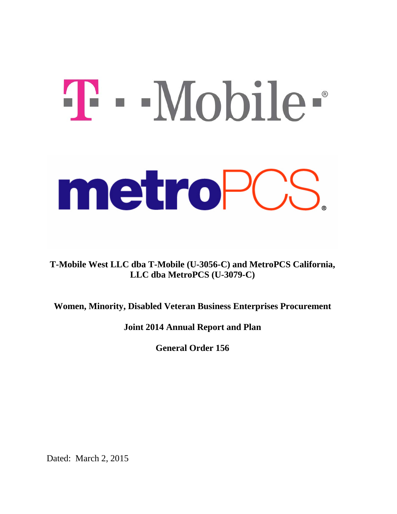# T - Mobile metroPCS

**T-Mobile West LLC dba T-Mobile (U-3056-C) and MetroPCS California, LLC dba MetroPCS (U-3079-C)**

**Women, Minority, Disabled Veteran Business Enterprises Procurement**

**Joint 2014 Annual Report and Plan** 

**General Order 156**

Dated: March 2, 2015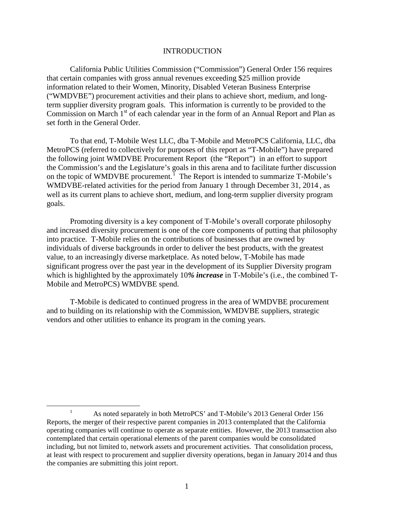### **INTRODUCTION**

California Public Utilities Commission ("Commission") General Order 156 requires that certain companies with gross annual revenues exceeding \$25 million provide information related to their Women, Minority, Disabled Veteran Business Enterprise ("WMDVBE") procurement activities and their plans to achieve short, medium, and longterm supplier diversity program goals. This information is currently to be provided to the Commission on March  $1<sup>st</sup>$  of each calendar year in the form of an Annual Report and Plan as set forth in the General Order.

To that end, T-Mobile West LLC, dba T-Mobile and MetroPCS California, LLC, dba MetroPCS (referred to collectively for purposes of this report as "T-Mobile") have prepared the following joint WMDVBE Procurement Report (the "Report") in an effort to support the Commission's and the Legislature's goals in this arena and to facilitate further discussion on the topic of WMDVBE procurement.<sup>[1](#page-1-0)</sup> The Report is intended to summarize T-Mobile's WMDVBE-related activities for the period from January 1 through December 31, 2014 , as well as its current plans to achieve short, medium, and long-term supplier diversity program goals.

Promoting diversity is a key component of T-Mobile's overall corporate philosophy and increased diversity procurement is one of the core components of putting that philosophy into practice. T-Mobile relies on the contributions of businesses that are owned by individuals of diverse backgrounds in order to deliver the best products, with the greatest value, to an increasingly diverse marketplace. As noted below, T-Mobile has made significant progress over the past year in the development of its Supplier Diversity program which is highlighted by the approximately 10*% increase* in T-Mobile's (i.e., the combined T-Mobile and MetroPCS) WMDVBE spend.

T-Mobile is dedicated to continued progress in the area of WMDVBE procurement and to building on its relationship with the Commission, WMDVBE suppliers, strategic vendors and other utilities to enhance its program in the coming years.

 $\overline{a}$ 

<span id="page-1-0"></span>As noted separately in both MetroPCS' and T-Mobile's 2013 General Order 156 Reports, the merger of their respective parent companies in 2013 contemplated that the California operating companies will continue to operate as separate entities. However, the 2013 transaction also contemplated that certain operational elements of the parent companies would be consolidated including, but not limited to, network assets and procurement activities. That consolidation process, at least with respect to procurement and supplier diversity operations, began in January 2014 and thus the companies are submitting this joint report.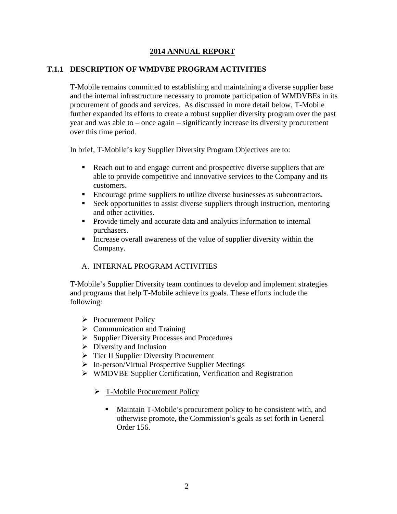### **2014 ANNUAL REPORT**

### **T.1.1 DESCRIPTION OF WMDVBE PROGRAM ACTIVITIES**

T-Mobile remains committed to establishing and maintaining a diverse supplier base and the internal infrastructure necessary to promote participation of WMDVBEs in its procurement of goods and services. As discussed in more detail below, T-Mobile further expanded its efforts to create a robust supplier diversity program over the past year and was able to – once again – significantly increase its diversity procurement over this time period.

In brief, T-Mobile's key Supplier Diversity Program Objectives are to:

- Reach out to and engage current and prospective diverse suppliers that are able to provide competitive and innovative services to the Company and its customers.
- Encourage prime suppliers to utilize diverse businesses as subcontractors.
- Seek opportunities to assist diverse suppliers through instruction, mentoring and other activities.
- **Provide timely and accurate data and analytics information to internal** purchasers.
- Increase overall awareness of the value of supplier diversity within the Company.

### A. INTERNAL PROGRAM ACTIVITIES

T-Mobile's Supplier Diversity team continues to develop and implement strategies and programs that help T-Mobile achieve its goals. These efforts include the following:

- $\triangleright$  Procurement Policy
- $\triangleright$  Communication and Training
- Supplier Diversity Processes and Procedures
- $\triangleright$  Diversity and Inclusion
- $\triangleright$  Tier II Supplier Diversity Procurement
- $\triangleright$  In-person/Virtual Prospective Supplier Meetings
- WMDVBE Supplier Certification, Verification and Registration
	- > T-Mobile Procurement Policy
		- Maintain T-Mobile's procurement policy to be consistent with, and otherwise promote, the Commission's goals as set forth in General Order 156.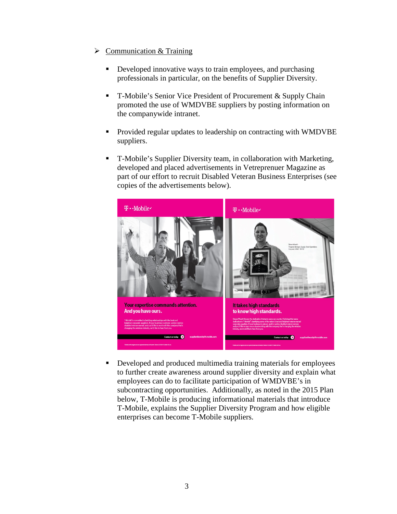- $\triangleright$  Communication & Training
	- Developed innovative ways to train employees, and purchasing professionals in particular, on the benefits of Supplier Diversity.
	- T-Mobile's Senior Vice President of Procurement & Supply Chain promoted the use of WMDVBE suppliers by posting information on the companywide intranet.
	- Provided regular updates to leadership on contracting with WMDVBE suppliers.
	- T-Mobile's Supplier Diversity team, in collaboration with Marketing, developed and placed advertisements in Vetreprenuer Magazine as part of our effort to recruit Disabled Veteran Business Enterprises (see copies of the advertisements below).



 Developed and produced multimedia training materials for employees to further create awareness around supplier diversity and explain what employees can do to facilitate participation of WMDVBE's in subcontracting opportunities. Additionally, as noted in the 2015 Plan below, T-Mobile is producing informational materials that introduce T-Mobile, explains the Supplier Diversity Program and how eligible enterprises can become T-Mobile suppliers.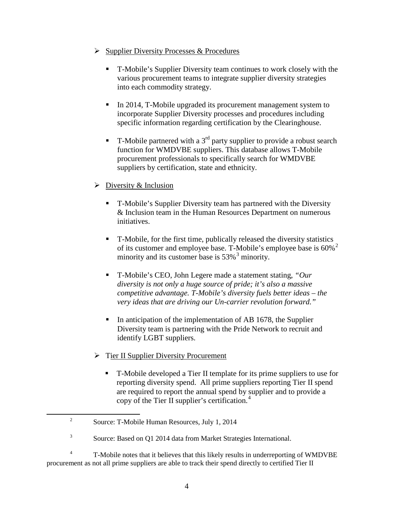- $\triangleright$  Supplier Diversity Processes & Procedures
	- T-Mobile's Supplier Diversity team continues to work closely with the various procurement teams to integrate supplier diversity strategies into each commodity strategy.
	- In 2014, T-Mobile upgraded its procurement management system to incorporate Supplier Diversity processes and procedures including specific information regarding certification by the Clearinghouse.
	- **T**-Mobile partnered with a 3<sup>rd</sup> party supplier to provide a robust search function for WMDVBE suppliers. This database allows T-Mobile procurement professionals to specifically search for WMDVBE suppliers by certification, state and ethnicity.
- $\triangleright$  Diversity & Inclusion
	- T-Mobile's Supplier Diversity team has partnered with the Diversity & Inclusion team in the Human Resources Department on numerous initiatives.
	- T-Mobile, for the first time, publically released the diversity statistics of its customer and employee base. T-Mobile's employee base is  $60\%$ <sup>[2](#page-4-0)</sup> minority and its customer base is  $53\%$  $53\%$  $53\%$ <sup>3</sup> minority.
	- T-Mobile's CEO, John Legere made a statement stating, *"Our diversity is not only a huge source of pride; it's also a massive competitive advantage. T-Mobile's diversity fuels better ideas – the very ideas that are driving our Un-carrier revolution forward."*
	- In anticipation of the implementation of AB 1678, the Supplier Diversity team is partnering with the Pride Network to recruit and identify LGBT suppliers.
- > Tier II Supplier Diversity Procurement
	- T-Mobile developed a Tier II template for its prime suppliers to use for reporting diversity spend. All prime suppliers reporting Tier II spend are required to report the annual spend by supplier and to provide a copy of the Tier II supplier's certification. [4](#page-4-2)

<span id="page-4-0"></span> $\overline{a}$ 

<sup>&</sup>lt;sup>2</sup> Source: T-Mobile Human Resources, July 1, 2014

<sup>&</sup>lt;sup>3</sup> Source: Based on Q1 2014 data from Market Strategies International.

<span id="page-4-2"></span><span id="page-4-1"></span><sup>&</sup>lt;sup>4</sup> T-Mobile notes that it believes that this likely results in underreporting of WMDVBE procurement as not all prime suppliers are able to track their spend directly to certified Tier II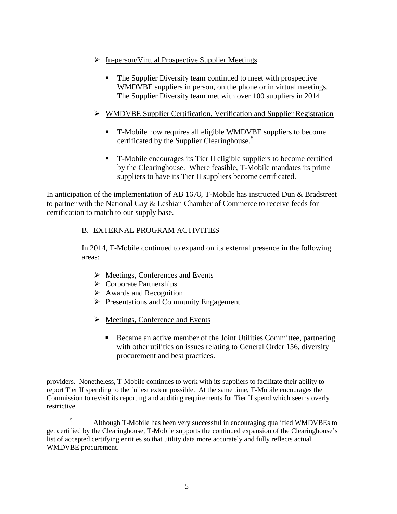- $\triangleright$  In-person/Virtual Prospective Supplier Meetings
	- The Supplier Diversity team continued to meet with prospective WMDVBE suppliers in person, on the phone or in virtual meetings. The Supplier Diversity team met with over 100 suppliers in 2014.

### WMDVBE Supplier Certification, Verification and Supplier Registration

- T-Mobile now requires all eligible WMDVBE suppliers to become certificated by the Supplier Clearinghouse. [5](#page-5-0)
- T-Mobile encourages its Tier II eligible suppliers to become certified by the Clearinghouse. Where feasible, T-Mobile mandates its prime suppliers to have its Tier II suppliers become certificated.

In anticipation of the implementation of AB 1678, T-Mobile has instructed Dun & Bradstreet to partner with the National Gay & Lesbian Chamber of Commerce to receive feeds for certification to match to our supply base.

# B. EXTERNAL PROGRAM ACTIVITIES

In 2014, T-Mobile continued to expand on its external presence in the following areas:

- $\triangleright$  Meetings, Conferences and Events
- $\triangleright$  Corporate Partnerships
- $\triangleright$  Awards and Recognition
- $\triangleright$  Presentations and Community Engagement
- $\triangleright$  Meetings, Conference and Events
	- Became an active member of the Joint Utilities Committee, partnering with other utilities on issues relating to General Order 156, diversity procurement and best practices.

providers. Nonetheless, T-Mobile continues to work with its suppliers to facilitate their ability to report Tier II spending to the fullest extent possible. At the same time, T-Mobile encourages the Commission to revisit its reporting and auditing requirements for Tier II spend which seems overly restrictive.  $\overline{a}$ 

<span id="page-5-0"></span><sup>5</sup> Although T-Mobile has been very successful in encouraging qualified WMDVBEs to get certified by the Clearinghouse, T-Mobile supports the continued expansion of the Clearinghouse's list of accepted certifying entities so that utility data more accurately and fully reflects actual WMDVBE procurement.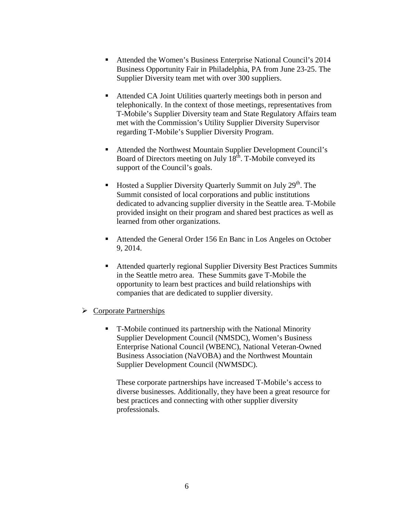- Attended the Women's Business Enterprise National Council's 2014 Business Opportunity Fair in Philadelphia, PA from June 23-25. The Supplier Diversity team met with over 300 suppliers.
- Attended CA Joint Utilities quarterly meetings both in person and telephonically. In the context of those meetings, representatives from T-Mobile's Supplier Diversity team and State Regulatory Affairs team met with the Commission's Utility Supplier Diversity Supervisor regarding T-Mobile's Supplier Diversity Program.
- Attended the Northwest Mountain Supplier Development Council's Board of Directors meeting on July  $18<sup>th</sup>$ . T-Mobile conveyed its support of the Council's goals.
- Hosted a Supplier Diversity Quarterly Summit on July  $29<sup>th</sup>$ . The Summit consisted of local corporations and public institutions dedicated to advancing supplier diversity in the Seattle area. T-Mobile provided insight on their program and shared best practices as well as learned from other organizations.
- Attended the General Order 156 En Banc in Los Angeles on October 9, 2014.
- Attended quarterly regional Supplier Diversity Best Practices Summits in the Seattle metro area. These Summits gave T-Mobile the opportunity to learn best practices and build relationships with companies that are dedicated to supplier diversity.
- $\triangleright$  Corporate Partnerships
	- T-Mobile continued its partnership with the National Minority Supplier Development Council (NMSDC), Women's Business Enterprise National Council (WBENC), National Veteran-Owned Business Association (NaVOBA) and the Northwest Mountain Supplier Development Council (NWMSDC).

These corporate partnerships have increased T-Mobile's access to diverse businesses. Additionally, they have been a great resource for best practices and connecting with other supplier diversity professionals.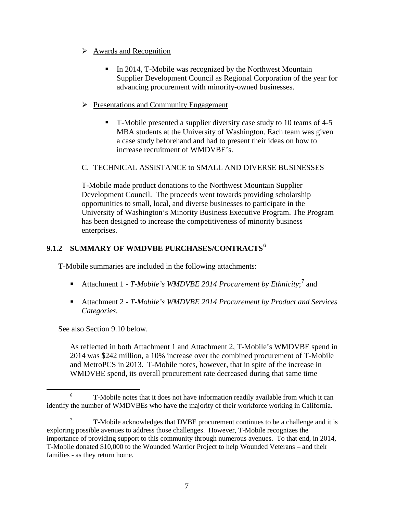### $\triangleright$  Awards and Recognition

- In 2014, T-Mobile was recognized by the Northwest Mountain Supplier Development Council as Regional Corporation of the year for advancing procurement with minority-owned businesses.
- $\triangleright$  Presentations and Community Engagement
	- T-Mobile presented a supplier diversity case study to 10 teams of 4-5 MBA students at the University of Washington. Each team was given a case study beforehand and had to present their ideas on how to increase recruitment of WMDVBE's.

# C. TECHNICAL ASSISTANCE to SMALL AND DIVERSE BUSINESSES

T-Mobile made product donations to the Northwest Mountain Supplier Development Council. The proceeds went towards providing scholarship opportunities to small, local, and diverse businesses to participate in the University of Washington's Minority Business Executive Program. The Program has been designed to increase the competitiveness of minority business enterprises.

# **9.1.2 SUMMARY OF WMDVBE PURCHASES/CONTRACTS[6](#page-7-0)**

T-Mobile summaries are included in the following attachments:

- Attachment 1 *T-Mobile's WMDVBE 2014 Procurement by Ethnicity*;<sup>[7](#page-7-1)</sup> and
- Attachment 2 *T-Mobile's WMDVBE 2014 Procurement by Product and Services Categories*.

See also Section 9.10 below.

As reflected in both Attachment 1 and Attachment 2, T-Mobile's WMDVBE spend in 2014 was \$242 million, a 10% increase over the combined procurement of T-Mobile and MetroPCS in 2013. T-Mobile notes, however, that in spite of the increase in WMDVBE spend, its overall procurement rate decreased during that same time

<span id="page-7-0"></span> $6 - 5$  T-Mobile notes that it does not have information readily available from which it can identify the number of WMDVBEs who have the majority of their workforce working in California.  $\overline{a}$ 

<span id="page-7-1"></span><sup>7</sup> T-Mobile acknowledges that DVBE procurement continues to be a challenge and it is exploring possible avenues to address those challenges. However, T-Mobile recognizes the importance of providing support to this community through numerous avenues. To that end, in 2014, T-Mobile donated \$10,000 to the Wounded Warrior Project to help Wounded Veterans – and their families - as they return home.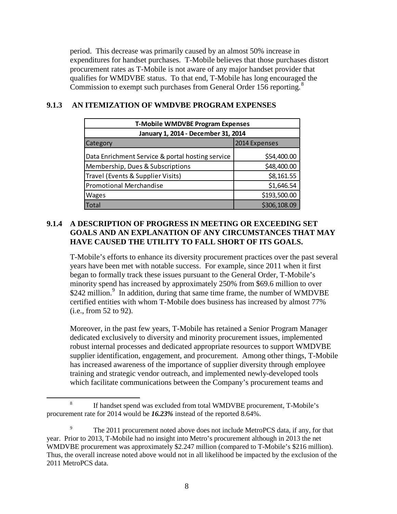period. This decrease was primarily caused by an almost 50% increase in expenditures for handset purchases. T-Mobile believes that those purchases distort procurement rates as T-Mobile is not aware of any major handset provider that qualifies for WMDVBE status. To that end, T-Mobile has long encouraged the Commission to exempt such purchases from General Order 156 reporting.<sup>[8](#page-8-0)</sup>

| <b>T-Mobile WMDVBE Program Expenses</b>          |               |  |  |  |  |  |
|--------------------------------------------------|---------------|--|--|--|--|--|
| January 1, 2014 - December 31, 2014              |               |  |  |  |  |  |
| Category                                         | 2014 Expenses |  |  |  |  |  |
| Data Enrichment Service & portal hosting service | \$54,400.00   |  |  |  |  |  |
| Membership, Dues & Subscriptions                 | \$48,400.00   |  |  |  |  |  |
| Travel (Events & Supplier Visits)                | \$8,161.55    |  |  |  |  |  |
| <b>Promotional Merchandise</b>                   | \$1,646.54    |  |  |  |  |  |
| <b>Wages</b>                                     | \$193,500.00  |  |  |  |  |  |
| Total                                            | \$306,108.09  |  |  |  |  |  |

### **9.1.3 AN ITEMIZATION OF WMDVBE PROGRAM EXPENSES**

### **9.1.4 A DESCRIPTION OF PROGRESS IN MEETING OR EXCEEDING SET GOALS AND AN EXPLANATION OF ANY CIRCUMSTANCES THAT MAY HAVE CAUSED THE UTILITY TO FALL SHORT OF ITS GOALS.**

T-Mobile's efforts to enhance its diversity procurement practices over the past several years have been met with notable success. For example, since 2011 when it first began to formally track these issues pursuant to the General Order, T-Mobile's minority spend has increased by approximately 250% from \$69.6 million to over \$242 million.<sup>[9](#page-8-1)</sup> In addition, during that same time frame, the number of WMDVBE certified entities with whom T-Mobile does business has increased by almost 77% (i.e., from 52 to 92).

Moreover, in the past few years, T-Mobile has retained a Senior Program Manager dedicated exclusively to diversity and minority procurement issues, implemented robust internal processes and dedicated appropriate resources to support WMDVBE supplier identification, engagement, and procurement. Among other things, T-Mobile has increased awareness of the importance of supplier diversity through employee training and strategic vendor outreach, and implemented newly-developed tools which facilitate communications between the Company's procurement teams and

 $\overline{a}$ 

<span id="page-8-0"></span><sup>&</sup>lt;sup>8</sup> If handset spend was excluded from total WMDVBE procurement, T-Mobile's procurement rate for 2014 would be *16.23%* instead of the reported 8.64%.

<span id="page-8-1"></span><sup>&</sup>lt;sup>9</sup> The 2011 procurement noted above does not include MetroPCS data, if any, for that year. Prior to 2013, T-Mobile had no insight into Metro's procurement although in 2013 the net WMDVBE procurement was approximately \$2.247 million (compared to T-Mobile's \$216 million). Thus, the overall increase noted above would not in all likelihood be impacted by the exclusion of the 2011 MetroPCS data.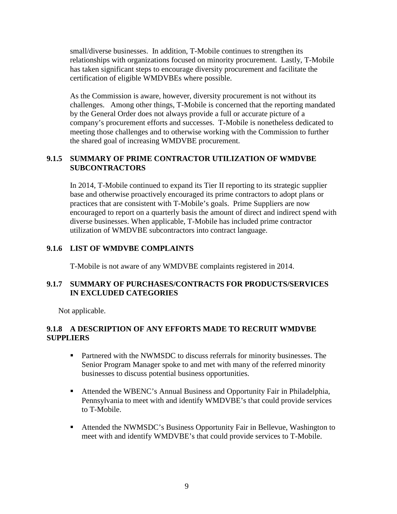small/diverse businesses. In addition, T-Mobile continues to strengthen its relationships with organizations focused on minority procurement. Lastly, T-Mobile has taken significant steps to encourage diversity procurement and facilitate the certification of eligible WMDVBEs where possible.

As the Commission is aware, however, diversity procurement is not without its challenges. Among other things, T-Mobile is concerned that the reporting mandated by the General Order does not always provide a full or accurate picture of a company's procurement efforts and successes. T-Mobile is nonetheless dedicated to meeting those challenges and to otherwise working with the Commission to further the shared goal of increasing WMDVBE procurement.

### **9.1.5 SUMMARY OF PRIME CONTRACTOR UTILIZATION OF WMDVBE SUBCONTRACTORS**

In 2014, T-Mobile continued to expand its Tier II reporting to its strategic supplier base and otherwise proactively encouraged its prime contractors to adopt plans or practices that are consistent with T-Mobile's goals. Prime Suppliers are now encouraged to report on a quarterly basis the amount of direct and indirect spend with diverse businesses. When applicable, T-Mobile has included prime contractor utilization of WMDVBE subcontractors into contract language.

### **9.1.6 LIST OF WMDVBE COMPLAINTS**

T-Mobile is not aware of any WMDVBE complaints registered in 2014.

# **9.1.7 SUMMARY OF PURCHASES/CONTRACTS FOR PRODUCTS/SERVICES IN EXCLUDED CATEGORIES**

Not applicable.

# **9.1.8 A DESCRIPTION OF ANY EFFORTS MADE TO RECRUIT WMDVBE SUPPLIERS**

- **Partnered with the NWMSDC to discuss referrals for minority businesses. The** Senior Program Manager spoke to and met with many of the referred minority businesses to discuss potential business opportunities.
- Attended the WBENC's Annual Business and Opportunity Fair in Philadelphia, Pennsylvania to meet with and identify WMDVBE's that could provide services to T-Mobile.
- Attended the NWMSDC's Business Opportunity Fair in Bellevue, Washington to meet with and identify WMDVBE's that could provide services to T-Mobile.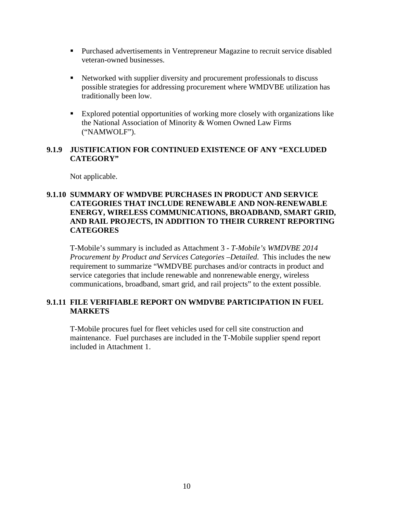- **Purchased advertisements in Ventrepreneur Magazine to recruit service disabled** veteran-owned businesses.
- Networked with supplier diversity and procurement professionals to discuss possible strategies for addressing procurement where WMDVBE utilization has traditionally been low.
- Explored potential opportunities of working more closely with organizations like the National Association of Minority & Women Owned Law Firms ("NAMWOLF").

### **9.1.9 JUSTIFICATION FOR CONTINUED EXISTENCE OF ANY "EXCLUDED CATEGORY"**

Not applicable.

### **9.1.10 SUMMARY OF WMDVBE PURCHASES IN PRODUCT AND SERVICE CATEGORIES THAT INCLUDE RENEWABLE AND NON-RENEWABLE ENERGY, WIRELESS COMMUNICATIONS, BROADBAND, SMART GRID, AND RAIL PROJECTS, IN ADDITION TO THEIR CURRENT REPORTING CATEGORES**

T-Mobile's summary is included as Attachment 3 - *T-Mobile's WMDVBE 2014 Procurement by Product and Services Categories –Detailed*. This includes the new requirement to summarize "WMDVBE purchases and/or contracts in product and service categories that include renewable and nonrenewable energy, wireless communications, broadband, smart grid, and rail projects" to the extent possible.

### **9.1.11 FILE VERIFIABLE REPORT ON WMDVBE PARTICIPATION IN FUEL MARKETS**

T-Mobile procures fuel for fleet vehicles used for cell site construction and maintenance. Fuel purchases are included in the T-Mobile supplier spend report included in Attachment 1.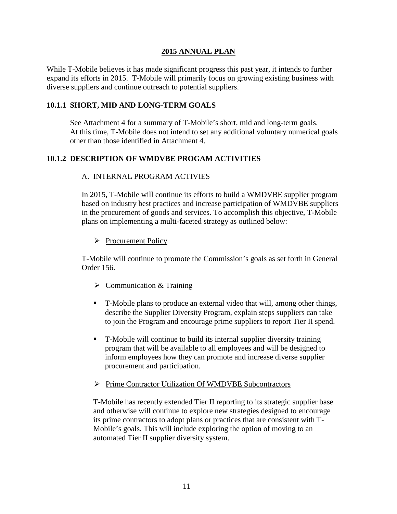### **2015 ANNUAL PLAN**

While T-Mobile believes it has made significant progress this past year, it intends to further expand its efforts in 2015. T-Mobile will primarily focus on growing existing business with diverse suppliers and continue outreach to potential suppliers.

### **10.1.1 SHORT, MID AND LONG-TERM GOALS**

See Attachment 4 for a summary of T-Mobile's short, mid and long-term goals. At this time, T-Mobile does not intend to set any additional voluntary numerical goals other than those identified in Attachment 4.

# **10.1.2 DESCRIPTION OF WMDVBE PROGAM ACTIVITIES**

### A. INTERNAL PROGRAM ACTIVIES

In 2015, T-Mobile will continue its efforts to build a WMDVBE supplier program based on industry best practices and increase participation of WMDVBE suppliers in the procurement of goods and services. To accomplish this objective, T-Mobile plans on implementing a multi-faceted strategy as outlined below:

### Procurement Policy

T-Mobile will continue to promote the Commission's goals as set forth in General Order 156.

- $\triangleright$  Communication & Training
- T-Mobile plans to produce an external video that will, among other things, describe the Supplier Diversity Program, explain steps suppliers can take to join the Program and encourage prime suppliers to report Tier II spend.
- T-Mobile will continue to build its internal supplier diversity training program that will be available to all employees and will be designed to inform employees how they can promote and increase diverse supplier procurement and participation.
- Prime Contractor Utilization Of WMDVBE Subcontractors

T-Mobile has recently extended Tier II reporting to its strategic supplier base and otherwise will continue to explore new strategies designed to encourage its prime contractors to adopt plans or practices that are consistent with T-Mobile's goals. This will include exploring the option of moving to an automated Tier II supplier diversity system.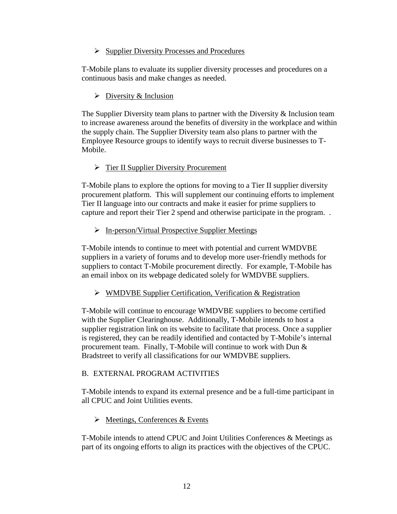### $\triangleright$  Supplier Diversity Processes and Procedures

T-Mobile plans to evaluate its supplier diversity processes and procedures on a continuous basis and make changes as needed.

### $\triangleright$  Diversity & Inclusion

The Supplier Diversity team plans to partner with the Diversity  $\&$  Inclusion team to increase awareness around the benefits of diversity in the workplace and within the supply chain. The Supplier Diversity team also plans to partner with the Employee Resource groups to identify ways to recruit diverse businesses to T-Mobile.

### > Tier II Supplier Diversity Procurement

T-Mobile plans to explore the options for moving to a Tier II supplier diversity procurement platform. This will supplement our continuing efforts to implement Tier II language into our contracts and make it easier for prime suppliers to capture and report their Tier 2 spend and otherwise participate in the program. .

# $\triangleright$  In-person/Virtual Prospective Supplier Meetings

T-Mobile intends to continue to meet with potential and current WMDVBE suppliers in a variety of forums and to develop more user-friendly methods for suppliers to contact T-Mobile procurement directly. For example, T-Mobile has an email inbox on its webpage dedicated solely for WMDVBE suppliers.

### WMDVBE Supplier Certification, Verification & Registration

T-Mobile will continue to encourage WMDVBE suppliers to become certified with the Supplier Clearinghouse. Additionally, T-Mobile intends to host a supplier registration link on its website to facilitate that process. Once a supplier is registered, they can be readily identified and contacted by T-Mobile's internal procurement team. Finally, T-Mobile will continue to work with Dun & Bradstreet to verify all classifications for our WMDVBE suppliers.

### B. EXTERNAL PROGRAM ACTIVITIES

T-Mobile intends to expand its external presence and be a full-time participant in all CPUC and Joint Utilities events.

### $\triangleright$  Meetings, Conferences & Events

T-Mobile intends to attend CPUC and Joint Utilities Conferences & Meetings as part of its ongoing efforts to align its practices with the objectives of the CPUC.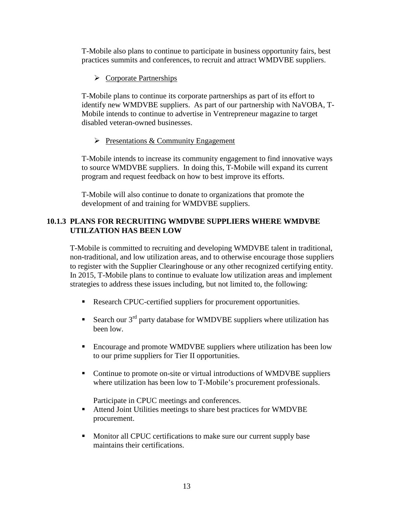T-Mobile also plans to continue to participate in business opportunity fairs, best practices summits and conferences, to recruit and attract WMDVBE suppliers.

### $\triangleright$  Corporate Partnerships

T-Mobile plans to continue its corporate partnerships as part of its effort to identify new WMDVBE suppliers. As part of our partnership with NaVOBA, T-Mobile intends to continue to advertise in Ventrepreneur magazine to target disabled veteran-owned businesses.

### $\triangleright$  Presentations & Community Engagement

T-Mobile intends to increase its community engagement to find innovative ways to source WMDVBE suppliers. In doing this, T-Mobile will expand its current program and request feedback on how to best improve its efforts.

T-Mobile will also continue to donate to organizations that promote the development of and training for WMDVBE suppliers.

# **10.1.3 PLANS FOR RECRUITING WMDVBE SUPPLIERS WHERE WMDVBE UTILZATION HAS BEEN LOW**

T-Mobile is committed to recruiting and developing WMDVBE talent in traditional, non-traditional, and low utilization areas, and to otherwise encourage those suppliers to register with the Supplier Clearinghouse or any other recognized certifying entity. In 2015, T-Mobile plans to continue to evaluate low utilization areas and implement strategies to address these issues including, but not limited to, the following:

- Research CPUC-certified suppliers for procurement opportunities.
- Search our  $3<sup>rd</sup>$  party database for WMDVBE suppliers where utilization has been low.
- Encourage and promote WMDVBE suppliers where utilization has been low to our prime suppliers for Tier II opportunities.
- Continue to promote on-site or virtual introductions of WMDVBE suppliers where utilization has been low to T-Mobile's procurement professionals.

Participate in CPUC meetings and conferences.

- Attend Joint Utilities meetings to share best practices for WMDVBE procurement.
- **Monitor all CPUC certifications to make sure our current supply base** maintains their certifications.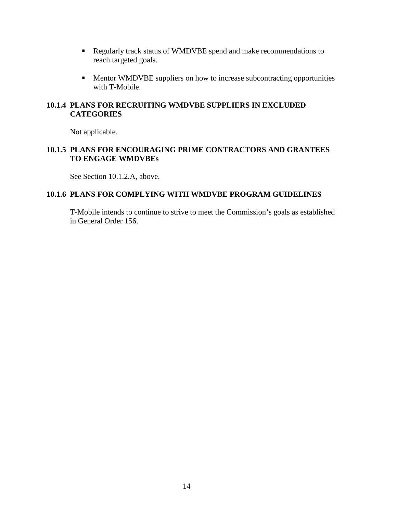- Regularly track status of WMDVBE spend and make recommendations to reach targeted goals.
- **Mentor WMDVBE** suppliers on how to increase subcontracting opportunities with T-Mobile.

### **10.1.4 PLANS FOR RECRUITING WMDVBE SUPPLIERS IN EXCLUDED CATEGORIES**

Not applicable.

### **10.1.5 PLANS FOR ENCOURAGING PRIME CONTRACTORS AND GRANTEES TO ENGAGE WMDVBEs**

See Section 10.1.2.A, above.

### **10.1.6 PLANS FOR COMPLYING WITH WMDVBE PROGRAM GUIDELINES**

T-Mobile intends to continue to strive to meet the Commission's goals as established in General Order 156.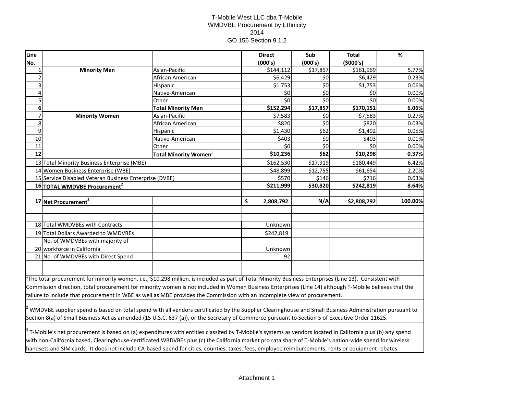### T-Mobile West LLC dba T-Mobile WMDVBE Procurement by Ethnicity 2014 GO 156 Section 9.1.2

| Line           |                                                                                                                                                               |                             | <b>Direct</b>   | Sub      | <b>Total</b> | $\%$    |  |  |  |
|----------------|---------------------------------------------------------------------------------------------------------------------------------------------------------------|-----------------------------|-----------------|----------|--------------|---------|--|--|--|
| No.            |                                                                                                                                                               |                             | (000's)         | (000's)  | (\$000's)    |         |  |  |  |
| $\mathbf{1}$   | <b>Minority Men</b>                                                                                                                                           | Asian-Pacific               | \$144,112       | \$17,857 | \$161,969    | 5.77%   |  |  |  |
| $\overline{a}$ |                                                                                                                                                               | African American            | \$6,429         | \$0      | \$6,429      | 0.23%   |  |  |  |
| 3              |                                                                                                                                                               | Hispanic                    | \$1,753         | \$0      | \$1,753      | 0.06%   |  |  |  |
| 4              |                                                                                                                                                               | Native-American             | \$0             | \$0      | \$0          | 0.00%   |  |  |  |
| 5              |                                                                                                                                                               | Other                       | \$0             | \$0      | \$0          | 0.00%   |  |  |  |
| 6              |                                                                                                                                                               | <b>Total Minority Men</b>   | \$152,294       | \$17,857 | \$170,151    | 6.06%   |  |  |  |
| $\overline{7}$ | <b>Minority Women</b>                                                                                                                                         | Asian-Pacific               | \$7,583         | \$0      | \$7,583      | 0.27%   |  |  |  |
| 8              |                                                                                                                                                               | African American            | \$820           | \$0      | \$820        | 0.03%   |  |  |  |
| 9              |                                                                                                                                                               | Hispanic                    | \$1,430         | \$62     | \$1,492      | 0.05%   |  |  |  |
| 10             |                                                                                                                                                               | Native-American             | \$403           | \$0      | \$403        | 0.01%   |  |  |  |
| 11             |                                                                                                                                                               | Other                       | \$0             | \$0      | \$0          | 0.00%   |  |  |  |
| 12             |                                                                                                                                                               | <b>Total Minority Women</b> | \$10,236        | \$62     | \$10,298     | 0.37%   |  |  |  |
|                | 13 Total Minority Business Enterprise (MBE)                                                                                                                   |                             | \$162,530       | \$17,919 | \$180,449    | 6.42%   |  |  |  |
|                | 14 Women Business Enterprise (WBE)                                                                                                                            |                             | \$48,899        | \$12,755 | \$61,654     | 2.20%   |  |  |  |
|                | 15 Service Disabled Veteran Business Enterprise (DVBE)                                                                                                        |                             | \$570           | \$146    | \$716        | 0.03%   |  |  |  |
|                | 16 TOTAL WMDVBE Procurement <sup>2</sup>                                                                                                                      |                             | \$211,999       | \$30,820 | \$242,819    | 8.64%   |  |  |  |
|                |                                                                                                                                                               |                             |                 |          |              |         |  |  |  |
|                | 17 Net Procurement <sup>3</sup>                                                                                                                               |                             | \$<br>2,808,792 | N/A      | \$2,808,792  | 100.00% |  |  |  |
|                |                                                                                                                                                               |                             |                 |          |              |         |  |  |  |
|                |                                                                                                                                                               |                             |                 |          |              |         |  |  |  |
|                | 18 Total WMDVBEs with Contracts                                                                                                                               |                             | Unknown         |          |              |         |  |  |  |
|                | 19 Total Dollars Awarded to WMDVBEs                                                                                                                           |                             | \$242,819       |          |              |         |  |  |  |
|                | No. of WMDVBEs with majority of                                                                                                                               |                             |                 |          |              |         |  |  |  |
|                | 20 workforce in California                                                                                                                                    |                             | Unknown         |          |              |         |  |  |  |
|                | 21 No. of WMDVBEs with Direct Spend                                                                                                                           |                             | 92              |          |              |         |  |  |  |
|                |                                                                                                                                                               |                             |                 |          |              |         |  |  |  |
|                |                                                                                                                                                               |                             |                 |          |              |         |  |  |  |
|                | The total procurement for minority women, i.e., \$10.298 million, is included as part of Total Minority Business Enterprises (Line 13). Consistent with       |                             |                 |          |              |         |  |  |  |
|                | Commission direction, total procurement for minority women is not included in Women Business Enterprises (Line 14) although T-Mobile believes that the        |                             |                 |          |              |         |  |  |  |
|                | failure to include that procurement in WBE as well as MBE provides the Commission with an incomplete view of procurement.                                     |                             |                 |          |              |         |  |  |  |
|                |                                                                                                                                                               |                             |                 |          |              |         |  |  |  |
|                | $^2$ WMDVBE supplier spend is based on total spend with all vendors certificated by the Supplier Clearinghouse and Small Business Administration pursuant to  |                             |                 |          |              |         |  |  |  |
|                | Section 8(a) of Small Business Act as amended (15 U.S.C. 637 (a)), or the Secretary of Commerce pursuant to Section 5 of Executive Order 11625.               |                             |                 |          |              |         |  |  |  |
|                |                                                                                                                                                               |                             |                 |          |              |         |  |  |  |
|                | $3$ T-Mobile's net procurement is based on (a) expenditures with entities classifed by T-Mobile's systems as vendors located in California plus (b) any spend |                             |                 |          |              |         |  |  |  |
|                | with non-California based, Clearinghouse-certificated WBDVBEs plus (c) the California market pro rata share of T-Mobile's nation-wide spend for wireless      |                             |                 |          |              |         |  |  |  |

handsets and SIM cards. It does not include CA-based spend for cities, counties, taxes, fees, employee reimbursements, rents or equipment rebates.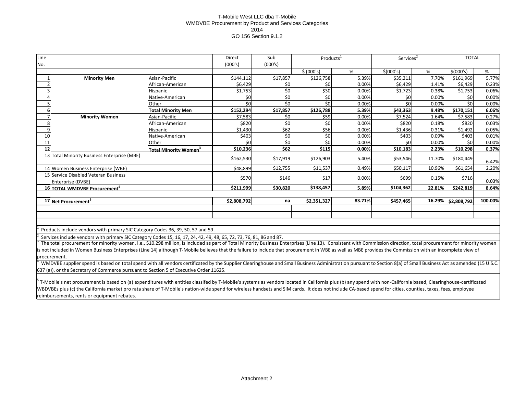### T-Mobile West LLC dba T-Mobile WMDVBE Procurement by Product and Services Categories 2014 GO 156 Section 9.1.2

| Line |                                                                                                                                                                                                                    |                                          | Direct      | Sub              | Products <sup>1</sup> |        |            | Services <sup>2</sup> |             | <b>TOTAL</b> |
|------|--------------------------------------------------------------------------------------------------------------------------------------------------------------------------------------------------------------------|------------------------------------------|-------------|------------------|-----------------------|--------|------------|-----------------------|-------------|--------------|
| No.  |                                                                                                                                                                                                                    |                                          | (000's)     | (000's)          |                       |        |            |                       |             |              |
|      |                                                                                                                                                                                                                    |                                          |             |                  | \$ (000's)            | %      | \$ (000's) | %                     | \$ (000's)  | %            |
|      | <b>Minority Men</b>                                                                                                                                                                                                | Asian-Pacific                            | \$144,112   | \$17,857         | \$126,758             | 5.39%  | \$35,211   | 7.70%                 | \$161,969   | 5.77%        |
|      |                                                                                                                                                                                                                    | African-American                         | \$6,429     | \$0              | \$0                   | 0.00%  | \$6,429    | 1.41%                 | \$6.429     | 0.23%        |
|      |                                                                                                                                                                                                                    | Hispanic                                 | \$1,753     | \$0              | \$30                  | 0.00%  | \$1,723    | 0.38%                 | \$1,753     | 0.06%        |
|      |                                                                                                                                                                                                                    | Native-American                          | \$0         | $\overline{\xi}$ | \$0                   | 0.00%  | \$0        | 0.00%                 | SO          | 0.00%        |
|      |                                                                                                                                                                                                                    | Other                                    | \$0         | \$0              | \$0                   | 0.00%  | \$0        | 0.00%                 | \$0         | 0.00%        |
|      |                                                                                                                                                                                                                    | <b>Total Minority Men</b>                | \$152,294   | \$17,857         | \$126,788             | 5.39%  | \$43,363   | 9.48%                 | \$170,151   | 6.06%        |
|      | <b>Minority Women</b>                                                                                                                                                                                              | Asian-Pacific                            | \$7,583     | \$0              | \$59                  | 0.00%  | \$7.524    | 1.64%                 | \$7.583     | 0.27%        |
|      |                                                                                                                                                                                                                    | African-American                         | \$820       | \$0              | \$0                   | 0.00%  | \$820      | 0.18%                 | \$820       | 0.03%        |
|      |                                                                                                                                                                                                                    | Hispanic                                 | \$1,430     | \$62             | \$56                  | 0.00%  | \$1,436    | 0.31%                 | \$1.492     | 0.05%        |
| 10   |                                                                                                                                                                                                                    | Native-American                          | \$403       | \$0              | \$0                   | 0.00%  | \$403      | 0.09%                 | \$403       | 0.01%        |
| 11   |                                                                                                                                                                                                                    | Other                                    | \$0         | \$0              | \$0                   | 0.00%  | \$0        | 0.00%                 | \$0         | 0.00%        |
| 12   |                                                                                                                                                                                                                    | <b>Total Minority Women</b> <sup>3</sup> | \$10,236    | \$62             | \$115                 | 0.00%  | \$10,183   | 2.23%                 | \$10,298    | 0.37%        |
|      | 13 Total Minority Business Enterprise (MBE)                                                                                                                                                                        |                                          | \$162,530   | \$17,919         | \$126,903             | 5.40%  | \$53,546   | 11.70%                | \$180,449   | 6.42%        |
|      | 14 Women Business Enterprise (WBE)                                                                                                                                                                                 |                                          | \$48,899    | \$12,755         | \$11,537              | 0.49%  | \$50,117   | 10.96%                | \$61,654    | 2.20%        |
|      | 15 Service Disabled Veteran Business<br>Enterprise (DVBE)                                                                                                                                                          |                                          | \$570       | \$146            | \$17                  | 0.00%  | \$699      | 0.15%                 | \$716       | 0.03%        |
|      | 16 TOTAL WMDVBE Procurement <sup>4</sup>                                                                                                                                                                           |                                          | \$211,999   | \$30,820         | \$138,457             | 5.89%  | \$104,362  | 22.81%                | \$242,819   | 8.64%        |
|      |                                                                                                                                                                                                                    |                                          |             |                  |                       |        |            |                       |             |              |
|      | 17 Net Procurement <sup>5</sup>                                                                                                                                                                                    |                                          | \$2,808,792 | nal              | \$2,351,327           | 83.71% | \$457,465  | 16.29%                | \$2,808,792 | 100.00%      |
|      |                                                                                                                                                                                                                    |                                          |             |                  |                       |        |            |                       |             |              |
|      |                                                                                                                                                                                                                    |                                          |             |                  |                       |        |            |                       |             |              |
|      |                                                                                                                                                                                                                    |                                          |             |                  |                       |        |            |                       |             |              |
|      | Products include vendors with primary SIC Category Codes 36, 39, 50, 57 and 59.                                                                                                                                    |                                          |             |                  |                       |        |            |                       |             |              |
|      | Services include vendors with primary SIC Category Codes 15, 16, 17, 24, 42, 49, 48, 65, 72, 73, 76, 81, 86 and 87.                                                                                                |                                          |             |                  |                       |        |            |                       |             |              |
|      | The total procurement for minority women, i.e., \$10.298 million, is included as part of Total Minority Business Enterprises (Line 13). Consistent with Commission direction, total procurement for minority women |                                          |             |                  |                       |        |            |                       |             |              |

is not included in Women Business Enterprises (Line 14) although T-Mobile believes that the failure to include that procurement in WBE as well as MBE provides the Commission with an incomplete view of procurement.

4 WMDVBE supplier spend is based on total spend with all vendors certificated by the Supplier Clearinghouse and Small Business Administration pursuant to Section 8(a) of Small Business Act as amended (15 U.S.C. 637 (a)), or the Secretary of Commerce pursuant to Section 5 of Executive Order 11625.

<sup>5</sup> T-Mobile's net procurement is based on (a) expenditures with entities classifed by T-Mobile's systems as vendors located in California plus (b) any spend with non-California based, Clearinghouse-certificated WBDVBEs plus (c) the California market pro rata share of T-Mobile's nation-wide spend for wireless handsets and SIM cards. It does not include CA-based spend for cities, counties, taxes, fees, employee reimbursements, rents or equipment rebates.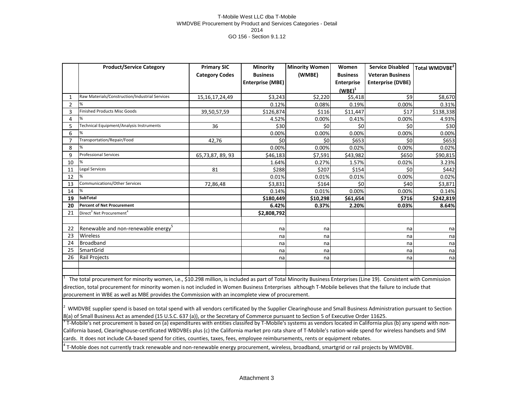### T-Mobile West LLC dba T-Mobile WMDVBE Procurement by Product and Services Categories - Detail 2014 GO 156 - Section 9.1.12

|                | <b>Product/Service Category</b>                  | <b>Primary SIC</b>    | <b>Minority</b>         | <b>Minority Women</b> | Women             | <b>Service Disabled</b>  | Total WMDVBE <sup>2</sup> |
|----------------|--------------------------------------------------|-----------------------|-------------------------|-----------------------|-------------------|--------------------------|---------------------------|
|                |                                                  | <b>Category Codes</b> | <b>Business</b>         | (WMBE)                | <b>Business</b>   | <b>Veteran Business</b>  |                           |
|                |                                                  |                       | <b>Enterprise (MBE)</b> |                       | <b>Enterprise</b> | <b>Enterprise (DVBE)</b> |                           |
|                |                                                  |                       |                         |                       | $(WBE)^1$         |                          |                           |
| 1              | Raw Materials/Construction/Industrial Services   | 15, 16, 17, 24, 49    | \$3,243                 | \$2,220               | \$5,418           | \$9                      | \$8,670                   |
| $\overline{2}$ |                                                  |                       | 0.12%                   | 0.08%                 | 0.19%             | 0.00%                    | 0.31%                     |
| 3              | <b>Finished Products Misc Goods</b>              | 39,50,57,59           | \$126,874               | \$116                 | \$11,447          | \$17                     | \$138,338                 |
| 4              |                                                  |                       | 4.52%                   | 0.00%                 | 0.41%             | 0.00%                    | 4.93%                     |
| 5              | Technical Equipment/Analysis Instruments         | 36                    | \$30                    | \$0                   | \$0               | \$0                      | \$30                      |
| 6              |                                                  |                       | 0.00%                   | 0.00%                 | 0.00%             | 0.00%                    | 0.00%                     |
| 7              | Transportation/Repair/Food                       | 42,76                 | \$0                     | \$0                   | \$653             | \$0                      | \$653                     |
| 8              |                                                  |                       | 0.00%                   | 0.00%                 | 0.02%             | 0.00%                    | 0.02%                     |
| 9              | <b>Professional Services</b>                     | 65,73,87,89,93        | \$46,183                | \$7,591               | \$43,982          | \$650                    | \$90,815                  |
| 10             |                                                  |                       | 1.64%                   | 0.27%                 | 1.57%             | 0.02%                    | 3.23%                     |
| 11             | Legal Services                                   | 81                    | \$288                   | \$207                 | \$154             | \$0                      | \$442                     |
| 12             |                                                  |                       | 0.01%                   | 0.01%                 | 0.01%             | 0.00%                    | 0.02%                     |
| 13             | Communications/Other Services                    | 72,86,48              | \$3,831                 | \$164                 | \$0               | \$40                     | \$3,871                   |
| 14             |                                                  |                       | 0.14%                   | 0.01%                 | 0.00%             | 0.00%                    | 0.14%                     |
| 19             | <b>SubTotal</b>                                  |                       | \$180,449               | \$10,298              | \$61,654          | \$716                    | \$242,819                 |
| 20             | <b>Percent of Net Procurement</b>                |                       | 6.42%                   | 0.37%                 | 2.20%             | 0.03%                    | 8.64%                     |
| 21             | Direct <sup>3</sup> Net Procurement <sup>4</sup> |                       | \$2,808,792             |                       |                   |                          |                           |
|                |                                                  |                       |                         |                       |                   |                          |                           |
| 22             | Renewable and non-renewable energy <sup>5</sup>  |                       | na                      | na                    |                   | na                       | na                        |
| 23             | Wireless<br>na                                   |                       |                         | na                    |                   | na                       | na                        |
| 24             | Broadband                                        | na<br>na              |                         | na                    | na                |                          |                           |
| 25             | SmartGrid                                        | na<br>na              |                         | na                    | na                |                          |                           |
| 26             | Rail Projects<br>na                              |                       |                         | na                    |                   | na                       | na                        |
|                |                                                  |                       |                         |                       |                   |                          |                           |
|                |                                                  |                       |                         |                       |                   |                          |                           |

1 The total procurement for minority women, i.e., \$10.298 million, is included as part of Total Minority Business Enterprises (Line 19). Consistent with Commission direction, total procurement for minority women is not included in Women Business Enterprises although T-Mobile believes that the failure to include that procurement in WBE as well as MBE provides the Commission with an incomplete view of procurement.

 $^2$  WMDVBE supplier spend is based on total spend with all vendors certificated by the Supplier Clearinghouse and Small Business Administration pursuant to Section 8(a) of Small Business Act as amended (15 U.S.C. 637 (a)), or the Secretary of Commerce pursuant to Section 5 of Executive Order 11625.

 $3$  T-Mobile's net procurement is based on (a) expenditures with entities classifed by T-Mobile's systems as vendors located in California plus (b) any spend with non-California based, Clearinghouse-certificated WBDVBEs plus (c) the California market pro rata share of T-Mobile's nation-wide spend for wireless handsets and SIM cards. It does not include CA-based spend for cities, counties, taxes, fees, employee reimbursements, rents or equipment rebates.

4 T-Moble does not currently track renewable and non-renewable energy procurement, wireless, broadband, smartgrid or rail projects by WMDVBE.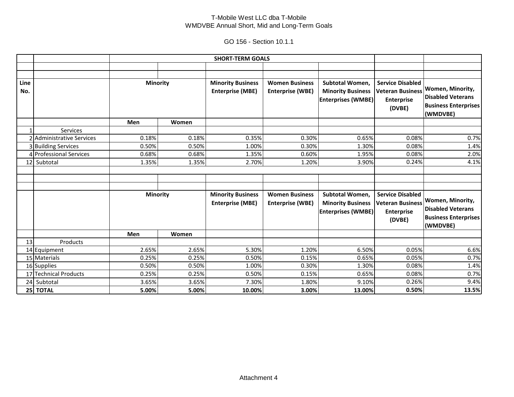### T-Mobile West LLC dba T-Mobile WMDVBE Annual Short, Mid and Long-Term Goals

GO 156 - Section 10.1.1

|      |                               | <b>SHORT-TERM GOALS</b> |       |                          |                         |                           |                         |                             |
|------|-------------------------------|-------------------------|-------|--------------------------|-------------------------|---------------------------|-------------------------|-----------------------------|
|      |                               |                         |       |                          |                         |                           |                         |                             |
|      |                               |                         |       |                          |                         |                           |                         |                             |
| Line |                               | <b>Minority</b>         |       | <b>Minority Business</b> | <b>Women Business</b>   | Subtotal Women,           | <b>Service Disabled</b> |                             |
| No.  |                               |                         |       | <b>Enterprise (MBE)</b>  | <b>Enterprise (WBE)</b> | <b>Minority Business</b>  | <b>Veteran Business</b> | Women, Minority,            |
|      |                               |                         |       |                          |                         | <b>Enterprises (WMBE)</b> | <b>Enterprise</b>       | <b>Disabled Veterans</b>    |
|      |                               |                         |       |                          |                         |                           | (DVBE)                  | <b>Business Enterprises</b> |
|      |                               |                         |       |                          |                         |                           |                         | (WMDVBE)                    |
|      |                               | Men                     | Women |                          |                         |                           |                         |                             |
|      | Services                      |                         |       |                          |                         |                           |                         |                             |
|      | 2 Administrative Services     | 0.18%                   | 0.18% | 0.35%                    | 0.30%                   | 0.65%                     | 0.08%                   | 0.7%                        |
|      | 3 Building Services           | 0.50%                   | 0.50% | 1.00%                    | 0.30%                   | 1.30%                     | 0.08%                   | 1.4%                        |
|      | 4 Professional Services       | 0.68%                   | 0.68% | 1.35%                    | 0.60%                   | 1.95%                     | 0.08%                   | 2.0%                        |
|      | 12 Subtotal<br>1.35%<br>1.35% |                         | 2.70% | 1.20%                    | 3.90%                   | 0.24%                     | 4.1%                    |                             |
|      |                               |                         |       |                          |                         |                           |                         |                             |
|      |                               |                         |       |                          |                         |                           |                         |                             |
|      |                               |                         |       |                          |                         |                           |                         |                             |
|      |                               | <b>Minority</b>         |       | <b>Minority Business</b> | <b>Women Business</b>   | Subtotal Women,           | <b>Service Disabled</b> |                             |
|      |                               |                         |       | <b>Enterprise (MBE)</b>  | <b>Enterprise (WBE)</b> | <b>Minority Business</b>  | <b>Veteran Business</b> | Women, Minority,            |
|      |                               |                         |       |                          |                         | <b>Enterprises (WMBE)</b> | <b>Enterprise</b>       | <b>Disabled Veterans</b>    |
|      |                               |                         |       |                          |                         |                           | (DVBE)                  | <b>Business Enterprises</b> |
|      |                               |                         |       |                          |                         |                           |                         | (WMDVBE)                    |
|      |                               | Men                     | Women |                          |                         |                           |                         |                             |
| 13   | Products                      |                         |       |                          |                         |                           |                         |                             |
|      | 14 Equipment                  | 2.65%                   | 2.65% | 5.30%                    | 1.20%                   | 6.50%                     | 0.05%                   | 6.6%                        |
|      | 15 Materials                  | 0.25%                   | 0.25% | 0.50%                    | 0.15%                   | 0.65%                     | 0.05%                   | 0.7%                        |
|      | 16 Supplies                   | 0.50%                   | 0.50% | 1.00%                    | 0.30%                   | 1.30%                     | 0.08%                   | 1.4%                        |
|      | 17 Technical Products         | 0.25%                   | 0.25% | 0.50%                    | 0.15%                   | 0.65%                     | 0.08%                   | 0.7%                        |
|      | 24 Subtotal                   | 3.65%                   | 3.65% | 7.30%                    | 1.80%                   | 9.10%                     | 0.26%                   | 9.4%                        |
|      | 25 TOTAL                      | 5.00%                   | 5.00% | 10.00%                   | 3.00%                   | 13.00%                    | 0.50%                   | 13.5%                       |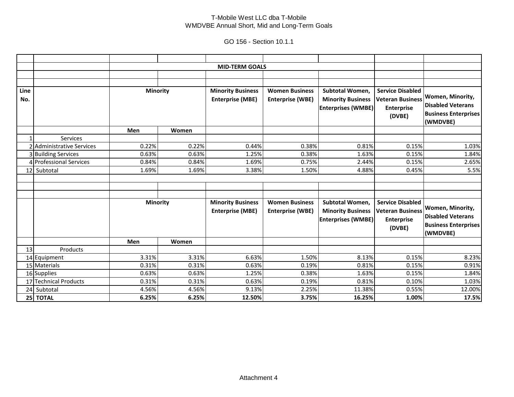### T-Mobile West LLC dba T-Mobile WMDVBE Annual Short, Mid and Long-Term Goals

GO 156 - Section 10.1.1

|             |                           |                 |       | <b>MID-TERM GOALS</b>                               |                                                  |                                                                          |                                                                                   |                                                                                         |
|-------------|---------------------------|-----------------|-------|-----------------------------------------------------|--------------------------------------------------|--------------------------------------------------------------------------|-----------------------------------------------------------------------------------|-----------------------------------------------------------------------------------------|
|             |                           |                 |       |                                                     |                                                  |                                                                          |                                                                                   |                                                                                         |
|             |                           |                 |       |                                                     |                                                  |                                                                          |                                                                                   |                                                                                         |
| Line<br>No. |                           | <b>Minority</b> |       | <b>Minority Business</b><br><b>Enterprise (MBE)</b> | <b>Women Business</b><br><b>Enterprise (WBE)</b> | Subtotal Women,<br><b>Minority Business</b><br><b>Enterprises (WMBE)</b> | <b>Service Disabled</b><br><b>Veteran Business</b><br><b>Enterprise</b><br>(DVBE) | Women, Minority,<br><b>Disabled Veterans</b><br><b>Business Enterprises</b><br>(WMDVBE) |
|             |                           | Men             | Women |                                                     |                                                  |                                                                          |                                                                                   |                                                                                         |
|             | Services                  |                 |       |                                                     |                                                  |                                                                          |                                                                                   |                                                                                         |
|             | 2 Administrative Services | 0.22%           | 0.22% | 0.44%                                               | 0.38%                                            | 0.81%                                                                    | 0.15%                                                                             | 1.03%                                                                                   |
|             | 3 Building Services       | 0.63%           | 0.63% | 1.25%                                               | 0.38%                                            | 1.63%                                                                    | 0.15%                                                                             | 1.84%                                                                                   |
|             | 4 Professional Services   | 0.84%           | 0.84% | 1.69%                                               | 0.75%                                            | 2.44%                                                                    | 0.15%                                                                             | 2.65%                                                                                   |
|             | 12 Subtotal               | 1.69%           | 1.69% | 3.38%                                               | 1.50%                                            | 4.88%                                                                    | 0.45%                                                                             | 5.5%                                                                                    |
|             |                           |                 |       |                                                     |                                                  |                                                                          |                                                                                   |                                                                                         |
|             |                           | <b>Minority</b> |       | <b>Minority Business</b><br><b>Enterprise (MBE)</b> | <b>Women Business</b><br><b>Enterprise (WBE)</b> | Subtotal Women,<br><b>Minority Business</b><br><b>Enterprises (WMBE)</b> | <b>Service Disabled</b><br><b>Veteran Business</b><br><b>Enterprise</b><br>(DVBE) | Women, Minority,<br><b>Disabled Veterans</b><br><b>Business Enterprises</b><br>(WMDVBE) |
|             |                           | Men             | Women |                                                     |                                                  |                                                                          |                                                                                   |                                                                                         |
| 13          | Products                  |                 |       |                                                     |                                                  |                                                                          |                                                                                   |                                                                                         |
|             | 14 Equipment              | 3.31%           | 3.31% | 6.63%                                               | 1.50%                                            | 8.13%                                                                    | 0.15%                                                                             | 8.23%                                                                                   |
|             | 15 Materials              | 0.31%           | 0.31% | 0.63%                                               | 0.19%                                            | 0.81%                                                                    | 0.15%                                                                             | 0.91%                                                                                   |
|             | 16 Supplies               | 0.63%           | 0.63% | 1.25%                                               | 0.38%                                            | 1.63%                                                                    | 0.15%                                                                             | 1.84%                                                                                   |
|             | 17 Technical Products     | 0.31%           | 0.31% | 0.63%                                               | 0.19%                                            | 0.81%                                                                    | 0.10%                                                                             | 1.03%                                                                                   |
|             | 24 Subtotal               | 4.56%           | 4.56% | 9.13%                                               | 2.25%                                            | 11.38%                                                                   | 0.55%                                                                             | 12.00%                                                                                  |
|             | 25 TOTAL                  | 6.25%           | 6.25% | 12.50%                                              | 3.75%                                            | 16.25%                                                                   | 1.00%                                                                             | 17.5%                                                                                   |